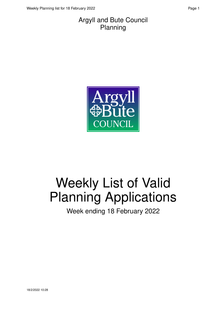#### Argyll and Bute Council Planning



# Weekly List of Valid Planning Applications

Week ending 18 February 2022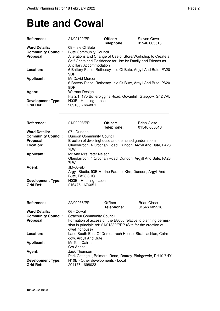### **Bute and Cowal**

| Reference:                | 21/02122/PP                                                 | Officer:<br>Telephone:                             | Steven Gove<br>01546 605518                                    |  |
|---------------------------|-------------------------------------------------------------|----------------------------------------------------|----------------------------------------------------------------|--|
| <b>Ward Details:</b>      | 08 - Isle Of Bute                                           |                                                    |                                                                |  |
| <b>Community Council:</b> | <b>Bute Community Council</b>                               |                                                    |                                                                |  |
| Proposal:                 | Alterations and Change of Use of Store/Workshop to Create a |                                                    |                                                                |  |
|                           |                                                             |                                                    | Self-Contained Residence for Use by Family and Friends as      |  |
|                           | Ancillary Accommodation                                     |                                                    |                                                                |  |
| Location:                 |                                                             |                                                    | 6 Battery Place, Rothesay, Isle Of Bute, Argyll And Bute, PA20 |  |
|                           | 9DP                                                         |                                                    |                                                                |  |
| <b>Applicant:</b>         | Mr David Mercer                                             |                                                    |                                                                |  |
|                           |                                                             |                                                    | 6 Battery Place, Rothesay, Isle Of Bute, Argyll And Bute, PA20 |  |
|                           | 9DP                                                         |                                                    |                                                                |  |
| Agent:                    | <b>Warrant Design</b>                                       |                                                    |                                                                |  |
|                           |                                                             |                                                    | Flat2/1, 170 Butterbiggins Road, Govanhill, Glasgow, G42 7AL   |  |
| <b>Development Type:</b>  | N03B - Housing - Local                                      |                                                    |                                                                |  |
| <b>Grid Ref:</b>          | 209180 - 664861                                             |                                                    |                                                                |  |
|                           |                                                             |                                                    |                                                                |  |
|                           |                                                             |                                                    |                                                                |  |
|                           |                                                             |                                                    |                                                                |  |
| Reference:                | 21/02228/PP                                                 | Officer:                                           | <b>Brian Close</b>                                             |  |
|                           |                                                             | Telephone:                                         | 01546 605518                                                   |  |
| <b>Ward Details:</b>      | 07 - Dunoon                                                 |                                                    |                                                                |  |
| <b>Community Council:</b> | Dunoon Community Council                                    |                                                    |                                                                |  |
| Proposal:                 |                                                             | Erection of dwellinghouse and detached garden room |                                                                |  |
| Location:                 |                                                             |                                                    | Glendarroch, 4 Crochan Road, Dunoon, Argyll And Bute, PA23     |  |
|                           | 7LW                                                         |                                                    |                                                                |  |
| <b>Applicant:</b>         | Mr And Mrs Peter Nelson                                     |                                                    |                                                                |  |
|                           |                                                             |                                                    | Glendarroch, 4 Crochan Road, Dunoon, Argyll And Bute, PA23     |  |
|                           | 7LW                                                         |                                                    |                                                                |  |
| Agent:                    | $JM = A + uD$                                               |                                                    |                                                                |  |
|                           |                                                             |                                                    | Argyll Studio, 93B Marine Parade, Kirn, Dunoon, Argyll And     |  |
|                           | Bute, PA23 8HQ                                              |                                                    |                                                                |  |
| <b>Development Type:</b>  | N03B - Housing - Local                                      |                                                    |                                                                |  |
| <b>Grid Ref:</b>          | 216475 - 676051                                             |                                                    |                                                                |  |
|                           |                                                             |                                                    |                                                                |  |
|                           |                                                             |                                                    |                                                                |  |
| Reference:                | 22/00036/PP                                                 | Officer:                                           | <b>Brian Close</b>                                             |  |
|                           |                                                             | Telephone:                                         | 01546 605518                                                   |  |
| <b>Ward Details:</b>      | 06 - Cowal                                                  |                                                    |                                                                |  |
| <b>Community Council:</b> | <b>Strachur Community Council</b>                           |                                                    |                                                                |  |
| Proposal:                 |                                                             |                                                    | Formation of access off the B8000 relative to planning permis- |  |
|                           |                                                             |                                                    | sion in principle ref: 21/01832/PPP (Site for the erection of  |  |
|                           | dwellinghouse)                                              |                                                    |                                                                |  |
| Location:                 |                                                             |                                                    | Land South East Of Drimdarroch House, Strathlachlan, Cairn-    |  |
|                           | dow, Argyll And Bute                                        |                                                    |                                                                |  |
|                           |                                                             |                                                    |                                                                |  |
| <b>Applicant:</b>         | Mr Tom Cairns                                               |                                                    |                                                                |  |
|                           | C/o Agent                                                   |                                                    |                                                                |  |
| Agent:                    | Jack Thomson                                                |                                                    |                                                                |  |
|                           |                                                             |                                                    | Park Cottage, Balmoral Road, Rattray, Blairgowrie, PH10 7HY    |  |
| <b>Development Type:</b>  | N10B - Other developments - Local                           |                                                    |                                                                |  |
| <b>Grid Ref:</b>          | 204175 - 698023                                             |                                                    |                                                                |  |
|                           |                                                             |                                                    |                                                                |  |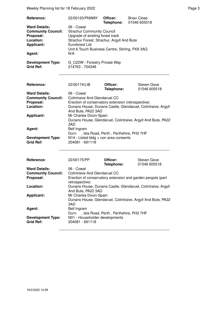Weekly Planning list for 18 February 2022 **Page 3** Page 3

| Reference:                                   | 22/00120/PNWAY                                   | Officer:   | <b>Brian Close</b> |  |
|----------------------------------------------|--------------------------------------------------|------------|--------------------|--|
|                                              |                                                  | Telephone: | 01546 605518       |  |
| <b>Ward Details:</b>                         | 06 - Cowal                                       |            |                    |  |
| <b>Community Council:</b>                    | <b>Strachur Community Council</b>                |            |                    |  |
| Proposal:                                    | Upgrade of existing forest track                 |            |                    |  |
| Location:                                    | Strachur Forest, Strachur, Argyll And Bute       |            |                    |  |
| <b>Applicant:</b>                            | Euroforest Ltd                                   |            |                    |  |
|                                              | Unit 6 Touch Business Centre, Stirling, FK8 3AQ  |            |                    |  |
| Agent:                                       | N/A                                              |            |                    |  |
| <b>Development Type:</b><br><b>Grid Ref:</b> | G C22W - Forestry Private Way<br>214763 - 704348 |            |                    |  |

| Reference:                                   | 22/00174/LIB                                                                                  | Officer:<br>Telephone:                  | Steven Gove<br>01546 605518 |
|----------------------------------------------|-----------------------------------------------------------------------------------------------|-----------------------------------------|-----------------------------|
| <b>Ward Details:</b>                         | 06 - Cowal                                                                                    |                                         |                             |
| <b>Community Council:</b>                    | Colintraive And Glendaruel CC                                                                 |                                         |                             |
| Proposal:                                    | Erection of conservatory extension (retrospective)                                            |                                         |                             |
| Location:                                    | Dunans House, Dunans Castle, Glendaruel, Colintraive, Argyll<br>And Bute, PA22 3AD            |                                         |                             |
| Applicant:                                   | Mr Charles Dixon-Spain<br>Dunans House, Glendaruel, Colintraive, Argyll And Bute, PA22<br>3AD |                                         |                             |
| Agent:                                       | Bell Ingram<br>Durn                                                                           | , Isla Road, Perth, Perthshire, PH2 7HF |                             |
| <b>Development Type:</b><br><b>Grid Ref:</b> | $N14$ - Listed bldg + con area consents<br>204081 - 691118                                    |                                         |                             |

| Reference:                                   | 22/00175/PP                                                                                   | Officer:<br>Telephone:                  | <b>Steven Gove</b><br>01546 605518 |
|----------------------------------------------|-----------------------------------------------------------------------------------------------|-----------------------------------------|------------------------------------|
| <b>Ward Details:</b>                         | 06 - Cowal                                                                                    |                                         |                                    |
| <b>Community Council:</b>                    | Colintraive And Glendaruel CC                                                                 |                                         |                                    |
| Proposal:                                    | Erection of conservatory extension and garden pergola (part<br>retrospective)                 |                                         |                                    |
| Location:                                    | Dunans House, Dunans Castle, Glendaruel, Colintraive, Argyll<br>And Bute, PA22 3AD            |                                         |                                    |
| <b>Applicant:</b>                            | Mr Charles Dixon-Spain<br>Dunans House, Glendaruel, Colintraive, Argyll And Bute, PA22<br>3AD |                                         |                                    |
| Agent:                                       | Bell Ingram<br>Durn                                                                           | , Isla Road, Perth, Perthshire, PH2 7HF |                                    |
| <b>Development Type:</b><br><b>Grid Ref:</b> | N01 - Householder developments<br>204081 - 691118                                             |                                         |                                    |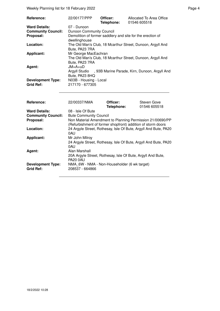Weekly Planning list for 18 February 2022 **Page 4** Page 4

| Reference:                | 22/00177/PPP                                                    | Officer:<br>Telephone: | Allocated To Area Office<br>01546 605518                    |
|---------------------------|-----------------------------------------------------------------|------------------------|-------------------------------------------------------------|
| <b>Ward Details:</b>      | 07 - Dunoon                                                     |                        |                                                             |
| <b>Community Council:</b> | Dunoon Community Council                                        |                        |                                                             |
| Proposal:                 |                                                                 |                        | Demolition of former saddlery and site for the erection of  |
|                           | dwellinghouse                                                   |                        |                                                             |
| Location:                 |                                                                 |                        | The Old Man's Club, 18 Mcarthur Street, Dunoon, Argyll And  |
|                           | Bute, PA23 7RA                                                  |                        |                                                             |
| <b>Applicant:</b>         | Mr George MacEachran                                            |                        |                                                             |
|                           |                                                                 |                        | The Old Man's Club, 18 Mcarthur Street, Dunoon, Argyll And  |
|                           | Bute, PA23 7RA                                                  |                        |                                                             |
| Agent:                    | $JM = A + U D$                                                  |                        |                                                             |
|                           |                                                                 |                        | Argyll Studio , 93B Marine Parade, Kirn, Dunoon, Argyll And |
|                           | Bute, PA23 8HQ                                                  |                        |                                                             |
| <b>Development Type:</b>  | N03B - Housing - Local                                          |                        |                                                             |
| <b>Grid Ref:</b>          | 217170 - 677305                                                 |                        |                                                             |
|                           |                                                                 |                        |                                                             |
| Reference:                | 22/00337/NMA                                                    | Officer:               | <b>Steven Gove</b>                                          |
|                           |                                                                 | Telephone:             | 01546 605518                                                |
| <b>Ward Details:</b>      | 08 - Isle Of Bute                                               |                        |                                                             |
| <b>Community Council:</b> | <b>Bute Community Council</b>                                   |                        |                                                             |
| Proposal:                 |                                                                 |                        | Non Material Amendment to Planning Permission 21/00690/PP   |
|                           |                                                                 |                        | (Refurbishment of former shopfront) addition of storm doors |
| Location:                 | 24 Argyle Street, Rothesay, Isle Of Bute, Argyll And Bute, PA20 |                        |                                                             |
|                           | 0AU                                                             |                        |                                                             |
| <b>Applicant:</b>         | Mr John Milroy                                                  |                        |                                                             |
|                           | 24 Argyle Street, Rothesay, Isle Of Bute, Argyll And Bute, PA20 |                        |                                                             |
|                           | 0AU                                                             |                        |                                                             |
| Agent:                    | Alan Marshall                                                   |                        |                                                             |

PA20 0AU

20A Argyle Street, Rothesay, Isle Of Bute, Argyll And Bute,

**NMA\_6W - NMA - Non-Householder (6 wk target)**<br>208537 - 664866

**Development Type:**<br>Grid Ref: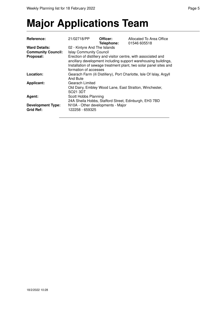## **Major Applications Team**

| Reference:                                   | 21/02718/PP                                          | Officer:<br>Telephone: | Allocated To Area Office<br>01546 605518                                                                                                                                                              |
|----------------------------------------------|------------------------------------------------------|------------------------|-------------------------------------------------------------------------------------------------------------------------------------------------------------------------------------------------------|
| <b>Ward Details:</b>                         | 02 - Kintyre And The Islands                         |                        |                                                                                                                                                                                                       |
| <b>Community Council:</b>                    | <b>Islay Community Council</b>                       |                        |                                                                                                                                                                                                       |
| Proposal:                                    | formation of accesses                                |                        | Erection of distillery and visitor centre, with associated and<br>ancillary development including support warehousing buildings,<br>Installation of sewage treatment plant, two solar panel sites and |
| Location:                                    | And Bute                                             |                        | Gearach Farm (ili Distillery), Port Charlotte, Isle Of Islay, Argyll                                                                                                                                  |
| <b>Applicant:</b>                            | Gearach Limited<br>SO21 3DT                          |                        | Old Dairy, Embley Wood Lane, East Stratton, Winchester,                                                                                                                                               |
| Agent:                                       | Scott Hobbs Planning                                 |                        | 24A Sheila Hobbs, Stafford Street, Edinburgh, EH3 7BD                                                                                                                                                 |
| <b>Development Type:</b><br><b>Grid Ref:</b> | N10A - Other developments - Major<br>122258 - 659325 |                        |                                                                                                                                                                                                       |
|                                              |                                                      |                        |                                                                                                                                                                                                       |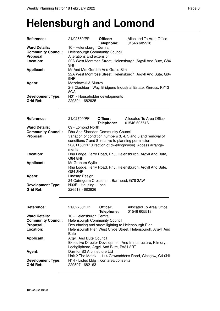#### **Helensburgh and Lomond**

| Reference:                                   | 21/02559/PP                                                | Officer:<br>Telephone: | Allocated To Area Office<br>01546 605518                     |  |
|----------------------------------------------|------------------------------------------------------------|------------------------|--------------------------------------------------------------|--|
| <b>Ward Details:</b>                         | 10 - Helensburgh Central                                   |                        |                                                              |  |
| <b>Community Council:</b>                    | Helensburgh Community Council                              |                        |                                                              |  |
| Proposal:                                    | Alterations and extension                                  |                        |                                                              |  |
| Location:                                    | 9NF                                                        |                        | 22A West Montrose Street, Helensburgh, Argyll And Bute, G84  |  |
| <b>Applicant:</b>                            | Mr And Mrs Gordon And Grace Sim                            |                        |                                                              |  |
|                                              | 9NF                                                        |                        | 22A West Montrose Street, Helensburgh, Argyll And Bute, G84  |  |
| Agent:                                       | Mozolowski & Murray<br>8GA                                 |                        | 2-8 Clashburn Way, Bridgend Industrial Estate, Kinross, KY13 |  |
| <b>Development Type:</b>                     | N01 - Householder developments                             |                        |                                                              |  |
| <b>Grid Ref:</b>                             | 229304 - 682925                                            |                        |                                                              |  |
| Reference:                                   | 21/02709/PP                                                | Officer:               | Allocated To Area Office                                     |  |
|                                              |                                                            | Telephone:             | 01546 605518                                                 |  |
| <b>Ward Details:</b>                         | 09 - Lomond North                                          |                        |                                                              |  |
| <b>Community Council:</b>                    | Rhu And Shandon Community Council                          |                        |                                                              |  |
| Proposal:                                    |                                                            |                        | Variation of condition numbers 3, 4, 5 and 6 and removal of  |  |
|                                              | conditions 7 and 8 relative to planning permission         |                        | 20/01150/PP (Erection of dwellinghouse). Access arrange-     |  |
|                                              | ments                                                      |                        |                                                              |  |
| Location:                                    | <b>G84 8NF</b>                                             |                        | Rhu Lodge, Ferry Road, Rhu, Helensburgh, Argyll And Bute,    |  |
| <b>Applicant:</b>                            | Mr Graham Wylie                                            |                        |                                                              |  |
|                                              | <b>G84 8NF</b>                                             |                        | Rhu Lodge, Ferry Road, Rhu, Helensburgh, Argyll And Bute,    |  |
| Agent:                                       | Lindsay Design                                             |                        |                                                              |  |
|                                              | 24 Cairngorm Crescent, Barrhead, G78 2AW                   |                        |                                                              |  |
| <b>Development Type:</b><br><b>Grid Ref:</b> | N03B - Housing - Local<br>226518 - 683926                  |                        |                                                              |  |
|                                              |                                                            |                        |                                                              |  |
| <b>Reference:</b>                            | 21/02730/LIB                                               | Officer:<br>Telephone: | Allocated To Area Office<br>01546 605518                     |  |
| <b>Ward Details:</b>                         | 10 - Helensburgh Central                                   |                        |                                                              |  |
| <b>Community Council:</b>                    | Helensburgh Community Council                              |                        |                                                              |  |
| Proposal:                                    | Resurfacing and street lighting to Helensburgh Pier        |                        |                                                              |  |
| Location:                                    | <b>Bute</b>                                                |                        | Helensburgh Pier, West Clyde Street, Helensburgh, Argyll And |  |
| <b>Applicant:</b>                            | Argyll And Bute Council                                    |                        |                                                              |  |
|                                              |                                                            |                        | Executive Director Development And Infrastructure, Kilmory,  |  |
|                                              | Lochgilphead, Argyll And Bute, PA31 8RT                    |                        |                                                              |  |
| Agent:                                       | DarntonB3 Architecture Ltd                                 |                        |                                                              |  |
|                                              |                                                            |                        | Unit 2 The Matrix , 114 Cowcaddens Road, Glasgow, G4 0HL     |  |
| <b>Development Type:</b><br><b>Grid Ref:</b> | $N14$ - Listed bldg + con area consents<br>229507 - 682163 |                        |                                                              |  |
|                                              |                                                            |                        |                                                              |  |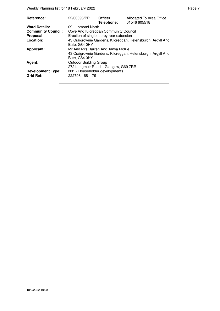Weekly Planning list for 18 February 2022 **Page 7** Neekly Planning list for 18 February 2022

| Reference:                                   | 22/00096/PP                                                                                                       | Officer:<br>Telephone: | Allocated To Area Office<br>01546 605518                    |  |  |
|----------------------------------------------|-------------------------------------------------------------------------------------------------------------------|------------------------|-------------------------------------------------------------|--|--|
| <b>Ward Details:</b>                         | 09 - Lomond North                                                                                                 |                        |                                                             |  |  |
| <b>Community Council:</b>                    | Cove And Kilcreggan Community Council                                                                             |                        |                                                             |  |  |
| Proposal:                                    | Erection of single storey rear extension                                                                          |                        |                                                             |  |  |
| Location:                                    | Bute, G84 0HY                                                                                                     |                        | 43 Craigrownie Gardens, Kilcreggan, Helensburgh, Argyll And |  |  |
| <b>Applicant:</b>                            | Mr And Mrs Darren And Tanya McKie<br>43 Craigrownie Gardens, Kilcreggan, Helensburgh, Argyll And<br>Bute, G84 0HY |                        |                                                             |  |  |
| Agent:                                       | <b>Outdoor Building Group</b><br>272 Langmuir Road, Glasgow, G69 7RR                                              |                        |                                                             |  |  |
| <b>Development Type:</b><br><b>Grid Ref:</b> | N01 - Householder developments<br>222798 - 681179                                                                 |                        |                                                             |  |  |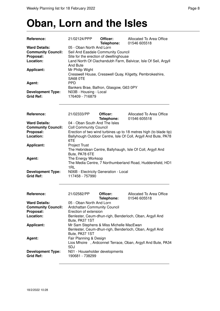#### **Oban, Lorn and the Isles**

| <b>Reference:</b>                                                                                          | 21/02124/PPP                                                                                                                                                                                                                                                                                                                                       | Officer:<br>Telephone: | Allocated To Area Office<br>01546 605518                   |  |  |
|------------------------------------------------------------------------------------------------------------|----------------------------------------------------------------------------------------------------------------------------------------------------------------------------------------------------------------------------------------------------------------------------------------------------------------------------------------------------|------------------------|------------------------------------------------------------|--|--|
| <b>Ward Details:</b><br><b>Community Council:</b><br>Proposal:<br>Location:<br><b>Applicant:</b><br>Agent: | 05 - Oban North And Lorn<br>Seil And Easdale Community Council<br>Site for the erection of dwellinghouse<br>Land North Of Clachandubh Farm, Balvicar, Isle Of Seil, Argyll<br>And Bute<br>Mr Philip Wight<br>Cresswell House, Cresswell Quay, Kilgetty, Pembrokeshire,<br><b>SA68 OTE</b><br><b>PPD</b><br>Bankers Brae, Balfron, Glasgow, G63 0PY |                        |                                                            |  |  |
| <b>Development Type:</b><br><b>Grid Ref:</b>                                                               | N03B - Housing - Local<br>176409 - 716879                                                                                                                                                                                                                                                                                                          |                        |                                                            |  |  |
| Reference:                                                                                                 | 21/02333/PP                                                                                                                                                                                                                                                                                                                                        | Officer:<br>Telephone: | Allocated To Area Office<br>01546 605518                   |  |  |
| <b>Ward Details:</b>                                                                                       | 04 - Oban South And The Isles                                                                                                                                                                                                                                                                                                                      |                        |                                                            |  |  |
| <b>Community Council:</b><br>Proposal:                                                                     | <b>Coll Community Council</b>                                                                                                                                                                                                                                                                                                                      |                        |                                                            |  |  |
| Location:                                                                                                  | Erection of two wind turbines up to 18 metres high (to blade tip)<br>Ballyhough Outdoor Centre, Isle Of Coll, Argyll And Bute, PA78<br>6TE                                                                                                                                                                                                         |                        |                                                            |  |  |
| <b>Applicant:</b>                                                                                          | <b>Project Trust</b><br>Bute, PA78 6TE                                                                                                                                                                                                                                                                                                             |                        | The Hebridean Centre, Ballyhaugh, Isle Of Coll, Argyll And |  |  |
| Agent:                                                                                                     | The Energy Worksop<br>1RL                                                                                                                                                                                                                                                                                                                          |                        | The Media Centre, 7 Northumberland Road, Huddersfield, HD1 |  |  |
| <b>Development Type:</b><br><b>Grid Ref:</b>                                                               | N06B - Electricity Generation - Local<br>117458 - 757990                                                                                                                                                                                                                                                                                           |                        |                                                            |  |  |
| Reference:                                                                                                 | 21/02582/PP                                                                                                                                                                                                                                                                                                                                        | Officer:<br>Telephone: | Allocated To Area Office<br>01546 605518                   |  |  |
| <b>Ward Details:</b>                                                                                       | 05 - Oban North And Lorn                                                                                                                                                                                                                                                                                                                           |                        |                                                            |  |  |
| <b>Community Council:</b>                                                                                  | <b>Ardchattan Community Council</b>                                                                                                                                                                                                                                                                                                                |                        |                                                            |  |  |
| Proposal:<br>Location:                                                                                     | Erection of extension                                                                                                                                                                                                                                                                                                                              |                        | Benlester, Ceum-dhun-righ, Benderloch, Oban, Argyll And    |  |  |
|                                                                                                            | Bute, PA37 1ST                                                                                                                                                                                                                                                                                                                                     |                        |                                                            |  |  |
| <b>Applicant:</b>                                                                                          | Mr Sam Stephens & Miss Michelle MacEwan<br>Benlester, Ceum-dhun-righ, Benderloch, Oban, Argyll And<br>Bute, PA37 1ST                                                                                                                                                                                                                               |                        |                                                            |  |  |
| Agent:                                                                                                     | Fair Planning & Design<br>Lios Mhoire, Ardconnel Terrace, Oban, Argyll And Bute, PA34<br>5DJ                                                                                                                                                                                                                                                       |                        |                                                            |  |  |
| <b>Development Type:</b><br><b>Grid Ref:</b>                                                               | N01 - Householder developments<br>190681 - 738299                                                                                                                                                                                                                                                                                                  |                        |                                                            |  |  |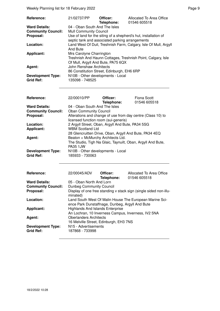| Reference:                | 21/02737/PP                                     | Officer:   | Allocated To Area Office                                         |
|---------------------------|-------------------------------------------------|------------|------------------------------------------------------------------|
|                           |                                                 | Telephone: | 01546 605518                                                     |
| <b>Ward Details:</b>      | 04 - Oban South And The Isles                   |            |                                                                  |
| <b>Community Council:</b> | <b>Mull Community Council</b>                   |            |                                                                  |
| Proposal:                 |                                                 |            | Use of land for the siting of a shepherd's hut, installation of  |
|                           | septic tank and associated parking arrangements |            |                                                                  |
| Location:                 |                                                 |            | Land West Of Duil, Treshnish Farm, Calgary, Isle Of Mull, Argyll |
|                           | And Bute                                        |            |                                                                  |
| <b>Applicant:</b>         | Mrs Carolyne Charrington                        |            |                                                                  |
|                           |                                                 |            | Treshnish And Haunn Cottages, Treshnish Point, Calgary, Isle     |
|                           | Of Mull, Argyll And Bute, PA75 6QX              |            |                                                                  |
| Agent:                    | John Renshaw Architects                         |            |                                                                  |
|                           | 86 Constitution Street, Edinburgh, EH6 6RP      |            |                                                                  |
| <b>Development Type:</b>  | N10B - Other developments - Local               |            |                                                                  |
| <b>Grid Ref:</b>          | 135098 - 748525                                 |            |                                                                  |

| <b>Reference:</b>         | 22/00010/PP                                                 | Officer:   | Fiona Scott  |  |
|---------------------------|-------------------------------------------------------------|------------|--------------|--|
|                           |                                                             | Telephone: | 01546 605518 |  |
| <b>Ward Details:</b>      | 04 - Oban South And The Isles                               |            |              |  |
| <b>Community Council:</b> | <b>Oban Community Council</b>                               |            |              |  |
| Proposal:                 | Alterations and change of use from day centre (Class 10) to |            |              |  |
|                           | licensed function room (sui-generis)                        |            |              |  |
| Location:                 | 2 Argyll Street, Oban, Argyll And Bute, PA34 5SG            |            |              |  |
| <b>Applicant:</b>         | <b>WBM Scotland Ltd</b>                                     |            |              |  |
|                           | 28 Glencruitten Drive, Oban, Argyll And Bute, PA34 4EQ      |            |              |  |
| Agent:                    | Beaton + McMurchy Architects Ltd.                           |            |              |  |
|                           | The Studio, Tigh Na Glaic, Taynuilt, Oban, Argyll And Bute, |            |              |  |
|                           | PA35 1.JW                                                   |            |              |  |
| <b>Development Type:</b>  | N10B - Other developments - Local                           |            |              |  |
| <b>Grid Ref:</b>          | 185933 - 730063                                             |            |              |  |

| <b>Reference:</b>                            | 22/00045/ADV                                                                                                                                                              | Officer:<br>Telephone: | Allocated To Area Office<br>01546 605518                          |  |
|----------------------------------------------|---------------------------------------------------------------------------------------------------------------------------------------------------------------------------|------------------------|-------------------------------------------------------------------|--|
| <b>Ward Details:</b>                         | 05 - Oban North And Lorn                                                                                                                                                  |                        |                                                                   |  |
| <b>Community Council:</b>                    | Dunbeg Community Council                                                                                                                                                  |                        |                                                                   |  |
| Proposal:                                    | minated)                                                                                                                                                                  |                        | Display of one free standing v stack sign (single sided non-illu- |  |
| Location:                                    | Land South West Of Malin House The European Marine Sci-<br>ence Park Dunstaffnage, Dunbeg, Argyll And Bute                                                                |                        |                                                                   |  |
| <b>Applicant:</b>                            | <b>Highlands And Islands Enterprise</b><br>An Lochran, 10 Inverness Campus, Inverness, IV2 5NA<br><b>Oberlanders Architects</b><br>16 Melville Street, Edinburgh, EH3 7NS |                        |                                                                   |  |
| Agent:                                       |                                                                                                                                                                           |                        |                                                                   |  |
| <b>Development Type:</b><br><b>Grid Ref:</b> | N <sub>15</sub> - Advertisements<br>187868 - 733998                                                                                                                       |                        |                                                                   |  |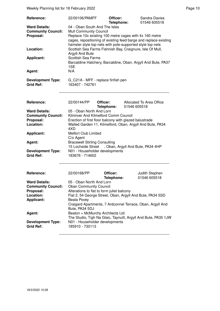| Reference:                                                     | 22/00106/PAMFF                                                                                                                                                                                                                                                          | Officer:               |              | <b>Sandra Davies</b><br>01546 605518                           |
|----------------------------------------------------------------|-------------------------------------------------------------------------------------------------------------------------------------------------------------------------------------------------------------------------------------------------------------------------|------------------------|--------------|----------------------------------------------------------------|
| <b>Ward Details:</b><br><b>Community Council:</b><br>Proposal: | Telephone:<br>04 - Oban South And The Isles<br><b>Mull Community Council</b><br>Replace 10x existing 100 metre cages with 4x 160 metre<br>cages, repositioning of existing feed barge and replace existing<br>hamster style top nets with pole-supported style top nets |                        |              |                                                                |
| Location:                                                      | Scottish Sea Farms Fishnish Bay, Craignure, Isle Of Mull,<br>Argyll And Bute                                                                                                                                                                                            |                        |              |                                                                |
| <b>Applicant:</b>                                              | <b>Scottish Sea Farms</b><br>1SE                                                                                                                                                                                                                                        |                        |              | Barcaldine Hatchery, Barcaldine, Oban, Argyll And Bute, PA37   |
| Agent:                                                         | N/A                                                                                                                                                                                                                                                                     |                        |              |                                                                |
| <b>Development Type:</b><br><b>Grid Ref:</b>                   | G_C21A - MFF - replace finfish pen<br>163407 - 742761                                                                                                                                                                                                                   |                        |              |                                                                |
| Reference:                                                     | 22/00144/PP                                                                                                                                                                                                                                                             | Officer:<br>Telephone: | 01546 605518 | Allocated To Area Office                                       |
| <b>Ward Details:</b><br><b>Community Council:</b>              | 05 - Oban North And Lorn<br>Kilninver And Kilmelford Comm Council                                                                                                                                                                                                       |                        |              |                                                                |
| Proposal:                                                      | Erection of first floor balcony with glazed balustrade                                                                                                                                                                                                                  |                        |              |                                                                |
| Location:                                                      | Walled Garden 11, Kilmelford, Oban, Argyll And Bute, PA34<br>4XD                                                                                                                                                                                                        |                        |              |                                                                |
| <b>Applicant:</b>                                              | <b>Melfort Club Limited</b>                                                                                                                                                                                                                                             |                        |              |                                                                |
| Agent:                                                         | C/o Agent<br><b>Bracewell Stirling Consulting</b>                                                                                                                                                                                                                       |                        |              |                                                                |
|                                                                | 15 Lochside Street, Oban, Argyll And Bute, PA34 4HP                                                                                                                                                                                                                     |                        |              |                                                                |
| <b>Development Type:</b><br><b>Grid Ref:</b>                   | N01 - Householder developments<br>183676 - 714602                                                                                                                                                                                                                       |                        |              |                                                                |
| Reference:                                                     | 22/00168/PP                                                                                                                                                                                                                                                             | Officer:<br>Telephone: |              | Judith Stephen<br>01546 605518                                 |
| <b>Ward Details:</b>                                           | 05 - Oban North And Lorn                                                                                                                                                                                                                                                |                        |              |                                                                |
| <b>Community Council:</b><br>Proposal:                         | <b>Oban Community Council</b><br>Alterations to flat to form juliet balcony                                                                                                                                                                                             |                        |              |                                                                |
| Location:                                                      | Flat 2, 54 George Street, Oban, Argyll And Bute, PA34 5SD                                                                                                                                                                                                               |                        |              |                                                                |
| <b>Applicant:</b>                                              | Beata Povey<br>Bute, PA34 5DJ                                                                                                                                                                                                                                           |                        |              | Craigard Apartments, 7 Ardconnel Terrace, Oban, Argyll And     |
| Agent:                                                         | Beaton + McMurchy Architects Ltd                                                                                                                                                                                                                                        |                        |              |                                                                |
| <b>Development Type:</b><br><b>Grid Ref:</b>                   | N01 - Householder developments<br>185910 - 730113                                                                                                                                                                                                                       |                        |              | The Studio, Tigh Na Glaic, Taynuilt, Argyll And Bute, PA35 1JW |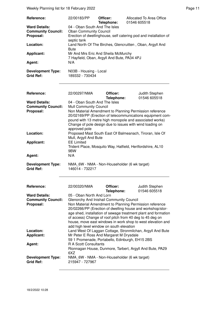Weekly Planning list for 18 February 2022 **Page 11** Assembly Page 11

| Reference:                                        | 22/00183/PP                                                                        | Officer:<br>Telephone: | Allocated To Area Office<br>01546 605518                                                                                     |  |  |
|---------------------------------------------------|------------------------------------------------------------------------------------|------------------------|------------------------------------------------------------------------------------------------------------------------------|--|--|
| <b>Ward Details:</b><br><b>Community Council:</b> | 04 - Oban South And The Isles<br><b>Oban Community Council</b>                     |                        |                                                                                                                              |  |  |
| Proposal:                                         | Erection of dwellinghouse, self catering pod and installation of                   |                        |                                                                                                                              |  |  |
|                                                   | septic tank<br>Land North Of The Birches, Glencruitten, Oban, Argyll And           |                        |                                                                                                                              |  |  |
| Location:                                         | <b>Bute</b>                                                                        |                        |                                                                                                                              |  |  |
| <b>Applicant:</b>                                 | Mr And Mrs Eric And Sheila McMurchy<br>7 Hayfield, Oban, Argyll And Bute, PA34 4PJ |                        |                                                                                                                              |  |  |
| Agent:                                            | N/A                                                                                |                        |                                                                                                                              |  |  |
| <b>Development Type:</b><br><b>Grid Ref:</b>      | N03B - Housing - Local<br>189332 - 730434                                          |                        |                                                                                                                              |  |  |
|                                                   |                                                                                    |                        |                                                                                                                              |  |  |
| Reference:                                        | 22/00297/NMA                                                                       | Officer:<br>Telephone: | Judith Stephen<br>01546 605518                                                                                               |  |  |
| <b>Ward Details:</b>                              | 04 - Oban South And The Isles                                                      |                        |                                                                                                                              |  |  |
| <b>Community Council:</b>                         | <b>Mull Community Council</b>                                                      |                        |                                                                                                                              |  |  |
| Proposal:                                         |                                                                                    |                        | Non Material Amendment to Planning Permission reference<br>20/02169/PP (Erection of telecommunications equipment com-        |  |  |
|                                                   |                                                                                    |                        | pound with 13 metre high monopole and associated works)                                                                      |  |  |
|                                                   |                                                                                    |                        | Change of pole design due to issues with wind loading on                                                                     |  |  |
| Location:                                         | approved pole                                                                      |                        | Proposed Mast South East Of Balmeanach, Tiroran, Isle Of                                                                     |  |  |
|                                                   | Mull, Argyll And Bute                                                              |                        |                                                                                                                              |  |  |
| <b>Applicant:</b>                                 | <b>EE Limited</b>                                                                  |                        |                                                                                                                              |  |  |
|                                                   | 9BW                                                                                |                        | Trident Place, Mosquito Way, Hatfield, Hertfordshire, AL10                                                                   |  |  |
| Agent:                                            | N/A                                                                                |                        |                                                                                                                              |  |  |
| <b>Development Type:</b>                          |                                                                                    |                        |                                                                                                                              |  |  |
| <b>Grid Ref:</b>                                  | NMA_6W - NMA - Non-Householder (6 wk target)<br>146014 - 732217                    |                        |                                                                                                                              |  |  |
|                                                   |                                                                                    |                        |                                                                                                                              |  |  |
| Reference:                                        | 22/00320/NMA                                                                       | Officer:<br>Telephone: | Judith Stephen<br>01546 605518                                                                                               |  |  |
| <b>Ward Details:</b>                              | 05 - Oban North And Lorn                                                           |                        |                                                                                                                              |  |  |
| <b>Community Council:</b>                         | Glenorchy And Inishail Community Council                                           |                        |                                                                                                                              |  |  |
| Proposal:                                         |                                                                                    |                        | Non Material Amendment to Planning Permission reference                                                                      |  |  |
|                                                   |                                                                                    |                        | 20/02266/PP (Erection of dwelling house and workshop/stor-<br>age shed, installation of sewage treatment plant and formation |  |  |
|                                                   |                                                                                    |                        | of access) Change of roof pitch from 40 deg to 45 deg on                                                                     |  |  |
|                                                   |                                                                                    |                        | house, move east windows in work shop to west elevation and                                                                  |  |  |
| Location:                                         | add high level window on south elevation                                           |                        | Land West Of Laggan Cottage, Stronmilchan, Argyll And Bute                                                                   |  |  |
| <b>Applicant:</b>                                 | Mr Peter E Ross And Margaret M Drysdale                                            |                        |                                                                                                                              |  |  |
|                                                   | 59 1 Promenade, Portabello, Edinburgh, EH15 2BS                                    |                        |                                                                                                                              |  |  |
| Agent:                                            | <b>R A Scott Consultants</b>                                                       |                        |                                                                                                                              |  |  |
|                                                   | 6XZ                                                                                |                        | Rionnagan House, Dunmore, Tarbert, Argyll And Bute, PA29                                                                     |  |  |
| <b>Development Type:</b><br><b>Grid Ref:</b>      | NMA_6W - NMA - Non-Householder (6 wk target)<br>215947 - 727967                    |                        |                                                                                                                              |  |  |
|                                                   |                                                                                    |                        |                                                                                                                              |  |  |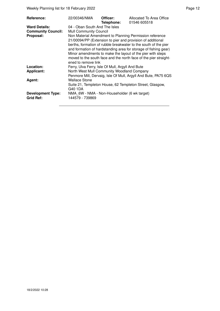Weekly Planning list for 18 February 2022 **Page 12** Page 12

| Reference:                | 22/00346/NMA                                     | Officer:<br>Telephone: | Allocated To Area Office<br>01546 605518                                                                                                                                                                                                                                                                                                                                                      |
|---------------------------|--------------------------------------------------|------------------------|-----------------------------------------------------------------------------------------------------------------------------------------------------------------------------------------------------------------------------------------------------------------------------------------------------------------------------------------------------------------------------------------------|
| <b>Ward Details:</b>      | 04 - Oban South And The Isles                    |                        |                                                                                                                                                                                                                                                                                                                                                                                               |
| <b>Community Council:</b> | <b>Mull Community Council</b>                    |                        |                                                                                                                                                                                                                                                                                                                                                                                               |
| Proposal:                 | ened to remove link                              |                        | Non Material Amendment to Planning Permission reference<br>21/00094/PP (Extension to pier and provision of additional<br>berths, formation of rubble breakwater to the south of the pier<br>and formation of hardstanding area for storage of fishing gear)<br>Minor amendments to make the layout of the pier with steps<br>moved to the south face and the north face of the pier straight- |
| Location:                 | Ferry, Ulva Ferry, Isle Of Mull, Argyll And Bute |                        |                                                                                                                                                                                                                                                                                                                                                                                               |
| <b>Applicant:</b>         | North West Mull Community Woodland Company       |                        |                                                                                                                                                                                                                                                                                                                                                                                               |
|                           |                                                  |                        | Penmore Mill, Dervaig, Isle Of Mull, Argyll And Bute, PA75 6QS                                                                                                                                                                                                                                                                                                                                |
| Agent:                    | <b>Wallace Stone</b>                             |                        |                                                                                                                                                                                                                                                                                                                                                                                               |
|                           | G40 1DA                                          |                        | Suite 21, Templeton House, 62 Templeton Street, Glasgow,                                                                                                                                                                                                                                                                                                                                      |
| <b>Development Type:</b>  | NMA 6W - NMA - Non-Householder (6 wk target)     |                        |                                                                                                                                                                                                                                                                                                                                                                                               |
| Grid Ref:                 | 144579 - 739869                                  |                        |                                                                                                                                                                                                                                                                                                                                                                                               |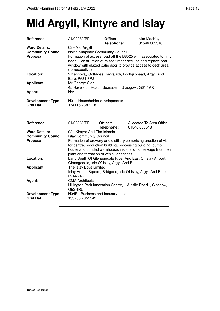# **Mid Argyll, Kintyre and Islay**

| Reference:                                                     | 21/02080/PP                                                                                                                                                                                                                                                                 | Officer:<br>Telephone: | Kim MacKay<br>01546 605518                                  |  |
|----------------------------------------------------------------|-----------------------------------------------------------------------------------------------------------------------------------------------------------------------------------------------------------------------------------------------------------------------------|------------------------|-------------------------------------------------------------|--|
| <b>Ward Details:</b><br><b>Community Council:</b><br>Proposal: | 03 - Mid Argyll<br>North Knapdale Community Council<br>Formation of access road off the B8025 with associated turning<br>head. Construction of raised timber decking and replace rear<br>window with glazed patio door to provide access to deck area<br>(retrospective)    |                        |                                                             |  |
| Location:                                                      | Bute, PA31 8PJ                                                                                                                                                                                                                                                              |                        | 2 Kennovay Cottages, Tayvallich, Lochgilphead, Argyll And   |  |
| <b>Applicant:</b>                                              | Mr George Clark<br>45 Ravelston Road, Bearsden, Glasgow, G61 1AX                                                                                                                                                                                                            |                        |                                                             |  |
| Agent:                                                         | N/A                                                                                                                                                                                                                                                                         |                        |                                                             |  |
| <b>Development Type:</b><br><b>Grid Ref:</b>                   | N01 - Householder developments<br>174115 - 687118                                                                                                                                                                                                                           |                        |                                                             |  |
| Reference:                                                     | 21/02360/PP                                                                                                                                                                                                                                                                 | Officer:<br>Telephone: | Allocated To Area Office<br>01546 605518                    |  |
| <b>Ward Details:</b>                                           | 02 - Kintyre And The Islands                                                                                                                                                                                                                                                |                        |                                                             |  |
| <b>Community Council:</b><br>Proposal:                         | <b>Islay Community Council</b><br>Formation of brewery and distillery comprising erection of visi-<br>tor centre, production building, processing building, pump<br>house and bonded warehouse, installation of sewage treatment<br>plant and formation of vehicular access |                        |                                                             |  |
| Location:                                                      | Land South Of Glenegedale River And East Of Islay Airport,<br>Glenegedale, Isle Of Islay, Argyll And Bute<br>The Islay Boys Limited<br>Islay House Square, Bridgend, Isle Of Islay, Argyll And Bute,<br><b>PA44 7NZ</b>                                                     |                        |                                                             |  |
| <b>Applicant:</b>                                              |                                                                                                                                                                                                                                                                             |                        |                                                             |  |
| Agent:                                                         | <b>CMA Architects</b><br><b>G52 4RU</b>                                                                                                                                                                                                                                     |                        | Hillington Park Innovation Centre, 1 Ainslie Road, Glasgow, |  |
| <b>Development Type:</b><br><b>Grid Ref:</b>                   | N04B - Business and Industry - Local<br>133233 - 651542                                                                                                                                                                                                                     |                        |                                                             |  |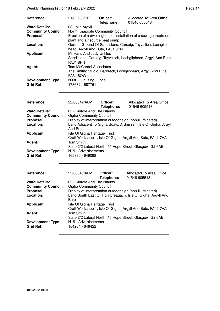Weekly Planning list for 18 February 2022 **Page 14** Page 14

| Reference:                | 21/02536/PP                      | Officer:<br>Telephone: | Allocated To Area Office<br>01546 605518                        |
|---------------------------|----------------------------------|------------------------|-----------------------------------------------------------------|
| <b>Ward Details:</b>      | 03 - Mid Argyll                  |                        |                                                                 |
| <b>Community Council:</b> | North Knapdale Community Council |                        |                                                                 |
| Proposal:                 | plant and air source heat pump   |                        | Erection of a dwellinghouse, installation of a sewage treatment |
| Location:                 | head, Argyll And Bute, PA31 8PN  |                        | Garden Ground Of Sandisland, Carsaig, Tayvallich, Lochgilp-     |
| <b>Applicant:</b>         | Mr Hans And Judy Unkles          |                        |                                                                 |
|                           | <b>PA31 8PN</b>                  |                        | Sandisland, Carsaig, Tayvallich, Lochgilphead, Argyll And Bute, |
| Agent:                    | Tom McCardel Associates          |                        |                                                                 |
|                           | <b>PA31 8QW</b>                  |                        | The Smithy Studio, Barbreck, Lochgilphead, Argyll And Bute,     |
| <b>Development Type:</b>  | N03B - Housing - Local           |                        |                                                                 |
| <b>Grid Ref:</b>          | 173632 - 687761                  |                        |                                                                 |

| <b>Reference:</b>         | 22/00042/ADV                                                   | Officer:<br>Telephone: | Allocated To Area Office<br>01546 605518                   |  |
|---------------------------|----------------------------------------------------------------|------------------------|------------------------------------------------------------|--|
| <b>Ward Details:</b>      | 02 - Kintyre And The Islands                                   |                        |                                                            |  |
| <b>Community Council:</b> | <b>Gigha Community Council</b>                                 |                        |                                                            |  |
| Proposal:                 | Display of interpretation outdoor sign (non-illuminated)       |                        |                                                            |  |
| Location:                 | Land Adjacent To Gigha Boats, Ardminish, Isle Of Gigha, Argyll |                        |                                                            |  |
|                           | And Bute                                                       |                        |                                                            |  |
| <b>Applicant:</b>         | Isle Of Gigha Heritage Trust                                   |                        |                                                            |  |
|                           |                                                                |                        | Craft Workshop 1, Isle Of Gigha, Argyll And Bute, PA41 7AA |  |
| Agent:                    | <b>Tom Smith</b>                                               |                        |                                                            |  |
|                           |                                                                |                        | Suite 2/2 Lateral North, 45 Hope Street, Glasgow, G2 6AE   |  |
| <b>Development Type:</b>  | N <sub>15</sub> - Advertisements                               |                        |                                                            |  |
| <b>Grid Ref:</b>          | 165330 - 649098                                                |                        |                                                            |  |

| 22/00043/ADV                                                | Officer:<br>Telephone: | Allocated To Area Office<br>01546 605518                                                                                                                                                       |
|-------------------------------------------------------------|------------------------|------------------------------------------------------------------------------------------------------------------------------------------------------------------------------------------------|
|                                                             |                        |                                                                                                                                                                                                |
|                                                             |                        |                                                                                                                                                                                                |
| Display of interpretation outdoor sign (non-illuminated)    |                        |                                                                                                                                                                                                |
| Land South East Of Tigh Creagach, Isle Of Gigha, Argyll And |                        |                                                                                                                                                                                                |
| <b>Bute</b>                                                 |                        |                                                                                                                                                                                                |
|                                                             |                        |                                                                                                                                                                                                |
| Craft Workshop 1, Isle Of Gigha, Argyll And Bute, PA41 7AA  |                        |                                                                                                                                                                                                |
| <b>Tom Smith</b>                                            |                        |                                                                                                                                                                                                |
|                                                             |                        |                                                                                                                                                                                                |
|                                                             |                        |                                                                                                                                                                                                |
| 164234 - 646422                                             |                        |                                                                                                                                                                                                |
|                                                             |                        | 02 - Kintyre And The Islands<br><b>Gigha Community Council</b><br>Isle Of Gigha Heritage Trust<br>Suite 2/2 Lateral North, 45 Hope Street, Glasgow, G2 6AE<br>N <sub>15</sub> - Advertisements |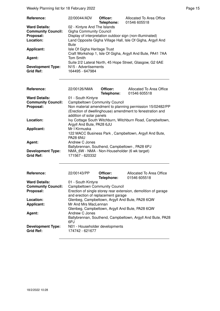Weekly Planning list for 18 February 2022 **Page 15** Neekly Planning list for 18 February 2022

| Reference:                | 22/00044/ADV                                                | Officer:<br>Telephone: | Allocated To Area Office<br>01546 605518                   |
|---------------------------|-------------------------------------------------------------|------------------------|------------------------------------------------------------|
| <b>Ward Details:</b>      | 02 - Kintyre And The Islands                                |                        |                                                            |
| <b>Community Council:</b> | <b>Gigha Community Council</b>                              |                        |                                                            |
| Proposal:                 |                                                             |                        | Display of interpretation outdoor sign (non-illuminated)   |
| Location:                 | Land Opposite Gigha Village Hall, Isle Of Gigha, Argyll And |                        |                                                            |
|                           | Bute                                                        |                        |                                                            |
| <b>Applicant:</b>         | Isle Of Gigha Heritage Trust                                |                        |                                                            |
|                           |                                                             |                        | Craft Workshop 1, Isle Of Gigha, Argyll And Bute, PA41 7AA |
| Agent:                    | <b>Tom Smith</b>                                            |                        |                                                            |
|                           |                                                             |                        | Suite 2/2 Lateral North, 45 Hope Street, Glasgow, G2 6AE   |
| <b>Development Type:</b>  | N <sub>15</sub> - Advertisements                            |                        |                                                            |
| <b>Grid Ref:</b>          | 164495 - 647984                                             |                        |                                                            |

| Reference:                                   | 22/00126/NMA                                                                                                                                       | Officer:<br>Telephone: | Allocated To Area Office<br>01546 605518                  |  |
|----------------------------------------------|----------------------------------------------------------------------------------------------------------------------------------------------------|------------------------|-----------------------------------------------------------|--|
| <b>Ward Details:</b>                         | 01 - South Kintyre                                                                                                                                 |                        |                                                           |  |
| <b>Community Council:</b>                    | <b>Campbeltown Community Council</b>                                                                                                               |                        |                                                           |  |
| Proposal:                                    | Non material amendment to planning permission 15/02482/PP<br>(Erection of dwellinghouse) amendment to fenestration and<br>addition of solar panels |                        |                                                           |  |
| Location:                                    | Argyll And Bute, PA28 6JU                                                                                                                          |                        | Ivy Cottage South Witchburn, Witchburn Road, Campbeltown, |  |
| <b>Applicant:</b>                            | Mr I Kirmuska<br>PA28 6NU                                                                                                                          |                        | 122 MACC Business Park, Campbeltown, Argyll And Bute,     |  |
| Agent:                                       | Andrew C Jones<br>Ballybrennan, Southend, Campbeltown, PA28 6PJ                                                                                    |                        |                                                           |  |
| <b>Development Type:</b><br><b>Grid Ref:</b> | NMA 6W - NMA - Non-Householder (6 wk target)<br>171567 - 620332                                                                                    |                        |                                                           |  |

| Reference:                                   | 22/00143/PP                                                                                          | Officer:<br>Telephone: | Allocated To Area Office<br>01546 605518                   |  |
|----------------------------------------------|------------------------------------------------------------------------------------------------------|------------------------|------------------------------------------------------------|--|
| <b>Ward Details:</b>                         | 01 - South Kintyre                                                                                   |                        |                                                            |  |
| <b>Community Council:</b>                    | <b>Campbeltown Community Council</b>                                                                 |                        |                                                            |  |
| Proposal:                                    | Erection of single storey rear extension, demolition of garage<br>and erection of replacement garage |                        |                                                            |  |
| Location:                                    | Glenbeg, Campbeltown, Argyll And Bute, PA28 6QW                                                      |                        |                                                            |  |
| <b>Applicant:</b>                            | Mr And Mrs MacLennan                                                                                 |                        |                                                            |  |
|                                              | Glenbeg, Campbeltown, Argyll And Bute, PA28 6QW                                                      |                        |                                                            |  |
| Agent:                                       | Andrew C Jones                                                                                       |                        |                                                            |  |
|                                              | 6PJ                                                                                                  |                        | Ballybrennan, Southend, Campbeltown, Argyll And Bute, PA28 |  |
| <b>Development Type:</b><br><b>Grid Ref:</b> | N01 - Householder developments<br>174742 - 621677                                                    |                        |                                                            |  |